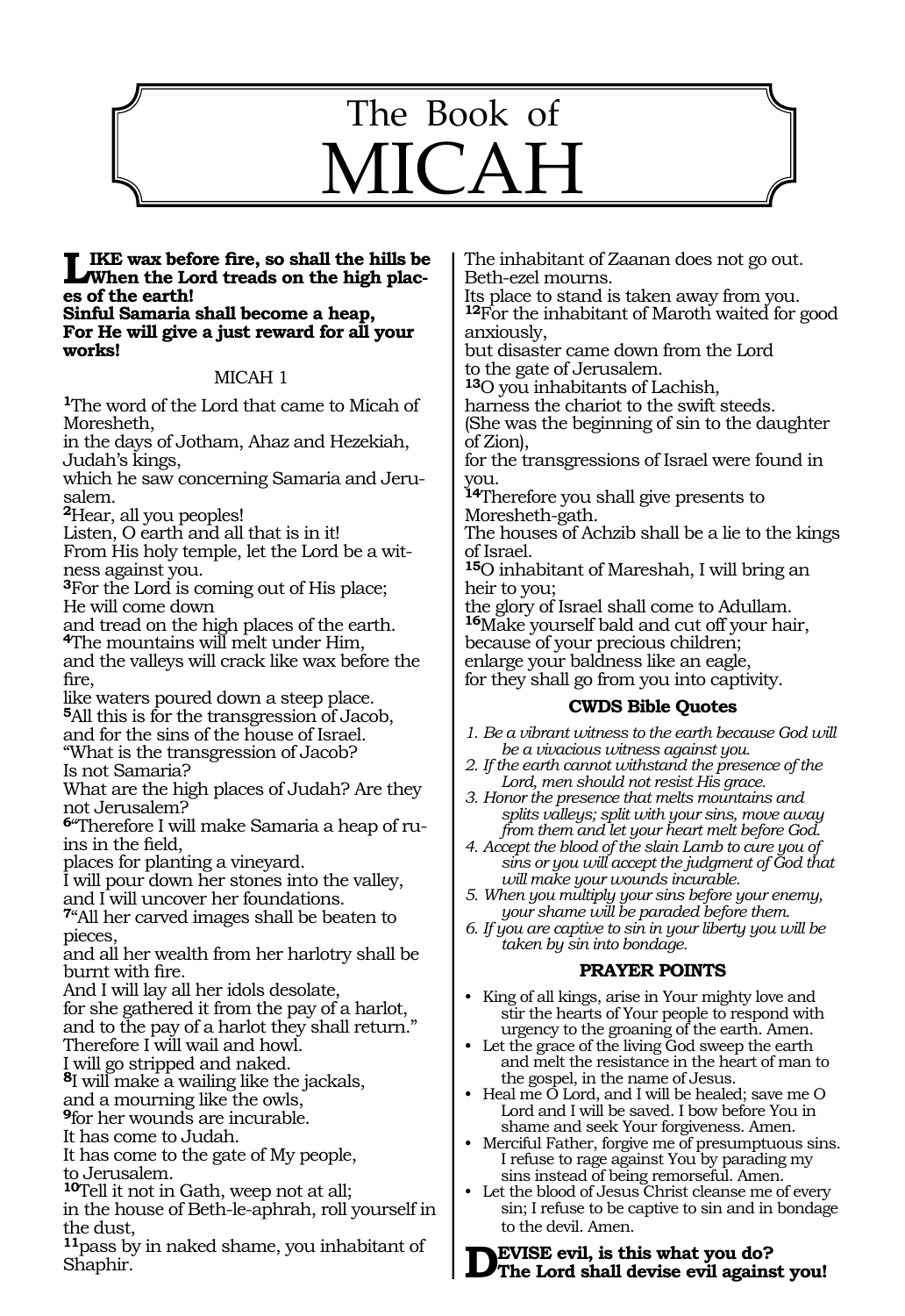# 1143 The Book of MICAH

## **Like wax before fire, so shall the hills be When the Lord treads on the high plac- es of the earth! Sinful Samaria shall become a heap,**

**For He will give a just reward for all your works!**

#### MICAH 1

**<sup>1</sup>**The word of the Lord that came to Micah of Moresheth,

in the days of Jotham, Ahaz and Hezekiah, Judah's kings,

which he saw concerning Samaria and Jerusalem.

**<sup>2</sup>**Hear, all you peoples!

Listen, O earth and all that is in it!

From His holy temple, let the Lord be a witness against you.

**<sup>3</sup>**For the Lord is coming out of His place; He will come down

and tread on the high places of the earth. **<sup>4</sup>**The mountains will melt under Him,

and the valleys will crack like wax before the fire,

like waters poured down a steep place. **<sup>5</sup>**All this is for the transgression of Jacob, and for the sins of the house of Israel. "What is the transgression of Jacob?

Is not Samaria?

What are the high places of Judah? Are they not Jerusalem?

**6**"Therefore I will make Samaria a heap of ruins in the field,

places for planting a vineyard.

I will pour down her stones into the valley, and I will uncover her foundations.

**<sup>7</sup>**"All her carved images shall be beaten to pieces,

and all her wealth from her harlotry shall be burnt with fire.

And I will lay all her idols desolate,

for she gathered it from the pay of a harlot, and to the pay of a harlot they shall return." Therefore I will wail and howl.

I will go stripped and naked.

**<sup>8</sup>**I will make a wailing like the jackals,

and a mourning like the owls,

**<sup>9</sup>**for her wounds are incurable.

It has come to Judah.

It has come to the gate of My people, to Jerusalem.

**<sup>10</sup>**Tell it not in Gath, weep not at all;

in the house of Beth-le-aphrah, roll yourself in the dust,

**<sup>11</sup>**pass by in naked shame, you inhabitant of Shaphir.

The inhabitant of Zaanan does not go out. Beth-ezel mourns.

Its place to stand is taken away from you. **<sup>12</sup>**For the inhabitant of Maroth waited for good anxiously,

but disaster came down from the Lord to the gate of Jerusalem.

**<sup>13</sup>**O you inhabitants of Lachish,

harness the chariot to the swift steeds.

(She was the beginning of sin to the daughter of Zion),

for the transgressions of Israel were found in you.

**<sup>14</sup>**Therefore you shall give presents to Moresheth-gath.

The houses of Achzib shall be a lie to the kings of Israel.

**<sup>15</sup>**O inhabitant of Mareshah, I will bring an heir to you;

the glory of Israel shall come to Adullam. **<sup>16</sup>**Make yourself bald and cut off your hair, because of your precious children; enlarge your baldness like an eagle, for they shall go from you into captivity.

#### **CWDS Bible Quotes**

*1. Be a vibrant witness to the earth because God will be a vivacious witness against you.* 

*2. If the earth cannot withstand the presence of the Lord, men should not resist His grace.*

*3. Honor the presence that melts mountains and splits valleys; split with your sins, move away from them and let your heart melt before God.*

*4. Accept the blood of the slain Lamb to cure you of sins or you will accept the judgment of God that will make your wounds incurable.*

*5. When you multiply your sins before your enemy, your shame will be paraded before them.*

*6. If you are captive to sin in your liberty you will be taken by sin into bondage.*

#### **PRAYER POINTS**

- King of all kings, arise in Your mighty love and stir the hearts of Your people to respond with urgency to the groaning of the earth. Amen.
- Let the grace of the living God sweep the earth and melt the resistance in the heart of man to the gospel, in the name of Jesus.
- Heal me O Lord, and I will be healed; save me O Lord and I will be saved. I bow before You in shame and seek Your forgiveness. Amen.
- Merciful Father, forgive me of presumptuous sins. I refuse to rage against You by parading my sins instead of being remorseful. Amen.

• Let the blood of Jesus Christ cleanse me of every sin; I refuse to be captive to sin and in bondage to the devil. Amen.

**Devise evil, is this what you do? The Lord shall devise evil against you!**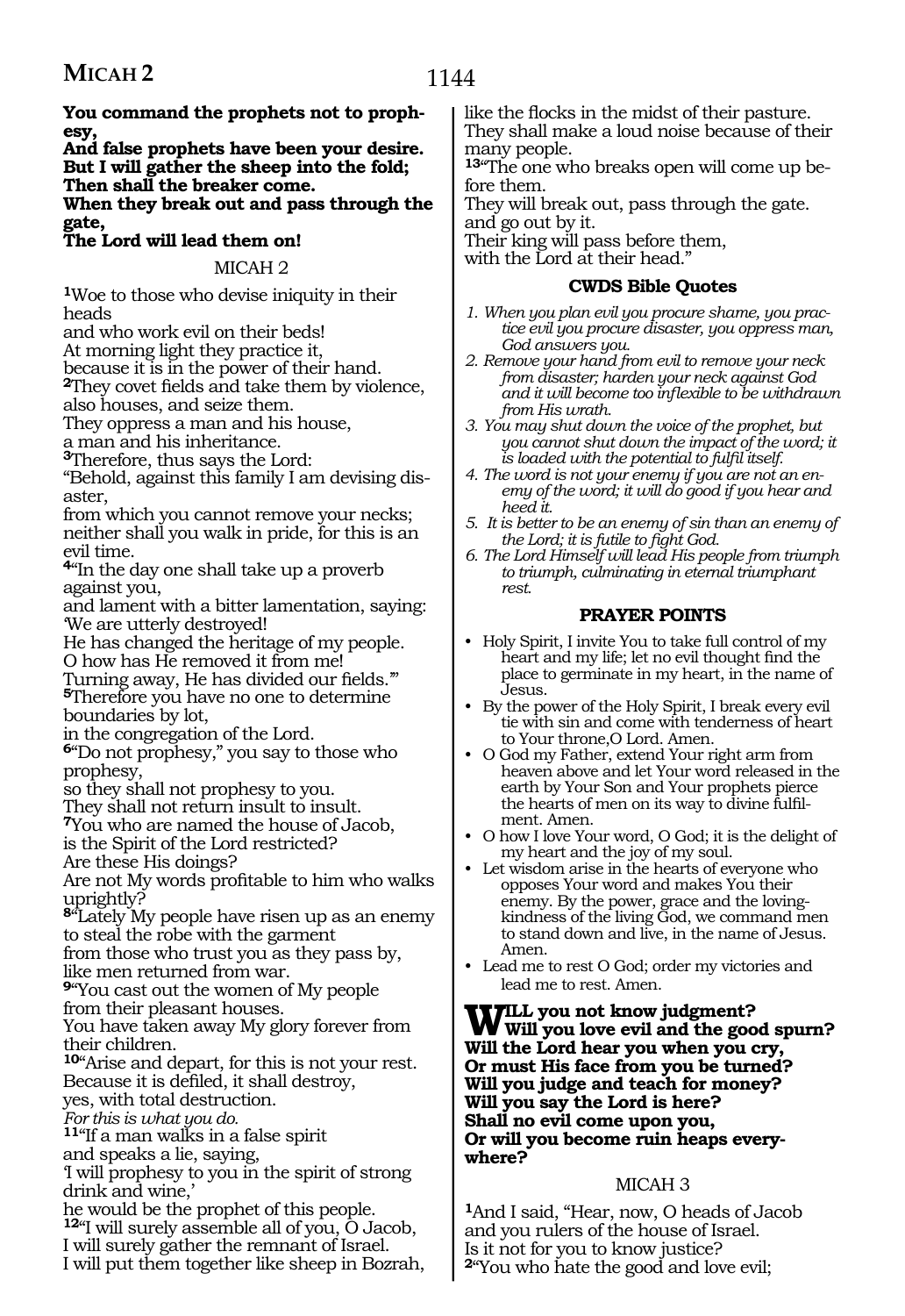**You command the prophets not to prophesy,**

**And false prophets have been your desire. But I will gather the sheep into the fold; Then shall the breaker come.**

**When they break out and pass through the gate,** 

#### **The Lord will lead them on!**

#### MICAH 2

**<sup>1</sup>**Woe to those who devise iniquity in their heads

and who work evil on their beds!

At morning light they practice it,

because it is in the power of their hand.

**<sup>2</sup>**They covet fields and take them by violence, also houses, and seize them.

They oppress a man and his house,

a man and his inheritance.

**<sup>3</sup>**Therefore, thus says the Lord:

"Behold, against this family I am devising disaster,

from which you cannot remove your necks; neither shall you walk in pride, for this is an evil time.

**<sup>4</sup>**"In the day one shall take up a proverb against you,

and lament with a bitter lamentation, saying: 'We are utterly destroyed!

He has changed the heritage of my people.

O how has He removed it from me!

Turning away, He has divided our fields.'" **<sup>5</sup>**Therefore you have no one to determine boundaries by lot,

in the congregation of the Lord.

**<sup>6</sup>**"Do not prophesy," you say to those who prophesy,

so they shall not prophesy to you.

They shall not return insult to insult.

**<sup>7</sup>**You who are named the house of Jacob,

is the Spirit of the Lord restricted?

Are these His doings?

Are not My words profitable to him who walks uprightly?

**<sup>8</sup>**"Lately My people have risen up as an enemy to steal the robe with the garment

from those who trust you as they pass by, like men returned from war.

**<sup>9</sup>**"You cast out the women of My people

from their pleasant houses.

You have taken away My glory forever from their children.

**<sup>10</sup>**"Arise and depart, for this is not your rest. Because it is defiled, it shall destroy,

yes, with total destruction.

*For this is what you do.*

**<sup>11</sup>**"If a man walks in a false spirit

and speaks a lie, saying,

'I will prophesy to you in the spirit of strong drink and wine,'

he would be the prophet of this people. **<sup>12</sup>**"I will surely assemble all of you, O Jacob, I will surely gather the remnant of Israel.

I will put them together like sheep in Bozrah,

like the flocks in the midst of their pasture. They shall make a loud noise because of their many people.

**13**"The one who breaks open will come up before them.

They will break out, pass through the gate. and go out by it.

Their king will pass before them,

with the Lord at their head."

#### **CWDS Bible Quotes**

- *1. When you plan evil you procure shame, you practice evil you procure disaster, you oppress man, God answers you.*
- *2. Remove your hand from evil to remove your neck from disaster; harden your neck against God and it will become too inflexible to be withdrawn from His wrath.*
- *3. You may shut down the voice of the prophet, but you cannot shut down the impact of the word; it is loaded with the potential to fulfil itself.*
- *4. The word is not your enemy if you are not an enemy of the word; it will do good if you hear and heed it.*
- *5. It is better to be an enemy of sin than an enemy of the Lord; it is futile to fight God.*
- *6. The Lord Himself will lead His people from triumph to triumph, culminating in eternal triumphant rest.*

#### **PRAYER POINTS**

- Holy Spirit, I invite You to take full control of my heart and my life; let no evil thought find the place to germinate in my heart, in the name of Jesus.
- By the power of the Holy Spirit, I break every evil tie with sin and come with tenderness of heart to Your throne,O Lord. Amen.
- O God my Father, extend Your right arm from heaven above and let Your word released in the earth by Your Son and Your prophets pierce the hearts of men on its way to divine fulfilment. Amen.
- O how I love Your word, O God; it is the delight of my heart and the joy of my soul.
- Let wisdom arise in the hearts of everyone who opposes Your word and makes You their enemy. By the power, grace and the lovingkindness of the living God, we command men to stand down and live, in the name of Jesus. Amen.
- Lead me to rest O God; order my victories and lead me to rest. Amen.

#### **Will you not know judgment? Will you love evil and the good spurn? Will the Lord hear you when you cry, Or must His face from you be turned? Will you judge and teach for money? Will you say the Lord is here? Shall no evil come upon you, Or will you become ruin heaps everywhere?**

#### MICAH 3

**<sup>1</sup>**And I said, "Hear, now, O heads of Jacob and you rulers of the house of Israel. Is it not for you to know justice? **<sup>2</sup>**"You who hate the good and love evil;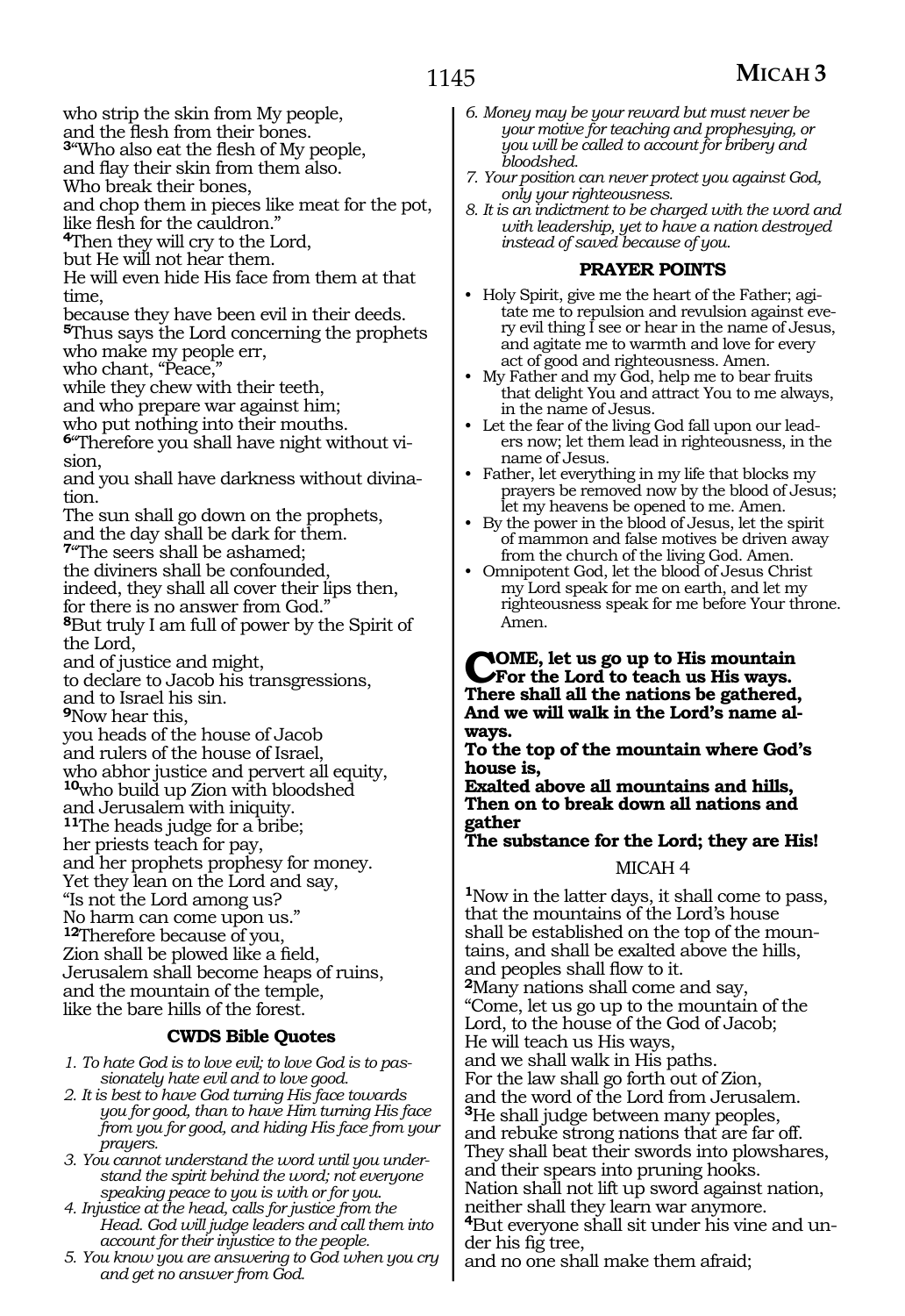## **MICAH 3**

who strip the skin from My people,

and the flesh from their bones. **<sup>3</sup>**"Who also eat the flesh of My people,

and flay their skin from them also.

Who break their bones,

and chop them in pieces like meat for the pot,

like flesh for the cauldron."

**<sup>4</sup>**Then they will cry to the Lord,

but He will not hear them.

He will even hide His face from them at that time,

because they have been evil in their deeds.

**<sup>5</sup>**Thus says the Lord concerning the prophets who make my people err,

who chant, "Peace,"

while they chew with their teeth,

and who prepare war against him;

who put nothing into their mouths.

**6**"Therefore you shall have night without vision,

and you shall have darkness without divination.

The sun shall go down on the prophets, and the day shall be dark for them.

**<sup>7</sup>**"The seers shall be ashamed;

the diviners shall be confounded,

indeed, they shall all cover their lips then,

for there is no answer from God.

**<sup>8</sup>**But truly I am full of power by the Spirit of the Lord,

and of justice and might,

to declare to Jacob his transgressions, and to Israel his sin.

**<sup>9</sup>**Now hear this,

you heads of the house of Jacob and rulers of the house of Israel, who abhor justice and pervert all equity, **<sup>10</sup>**who build up Zion with bloodshed and Jerusalem with iniquity. **<sup>11</sup>**The heads judge for a bribe; her priests teach for pay, and her prophets prophesy for money. Yet they lean on the Lord and say, "Is not the Lord among us? No harm can come upon us." **<sup>12</sup>**Therefore because of you, Zion shall be plowed like a field, Jerusalem shall become heaps of ruins, and the mountain of the temple, like the bare hills of the forest.

#### **CWDS Bible Quotes**

*1. To hate God is to love evil; to love God is to passionately hate evil and to love good.*

- *2. It is best to have God turning His face towards you for good, than to have Him turning His face from you for good, and hiding His face from your prayers.*
- *3. You cannot understand the word until you understand the spirit behind the word; not everyone speaking peace to you is with or for you.*
- *4. Injustice at the head, calls for justice from the Head. God will judge leaders and call them into account for their injustice to the people.*
- *5. You know you are answering to God when you cry and get no answer from God.*
- *6. Money may be your reward but must never be your motive for teaching and prophesying, or you will be called to account for bribery and bloodshed.*
- *7. Your position can never protect you against God, only your righteousness.*
- *8. It is an indictment to be charged with the word and with leadership, yet to have a nation destroyed instead of saved because of you.*

#### **PRAYER POINTS**

- Holy Spirit, give me the heart of the Father; agitate me to repulsion and revulsion against every evil thing I see or hear in the name of Jesus, and agitate me to warmth and love for every act of good and righteousness. Amen.
- My Father and my God, help me to bear fruits that delight You and attract You to me always, in the name of Jesus.
- Let the fear of the living God fall upon our leaders now; let them lead in righteousness, in the name of Jesus.
- Father, let everything in my life that blocks my prayers be removed now by the blood of Jesus; let my heavens be opened to me. Amen.
- By the power in the blood of Jesus, let the spirit of mammon and false motives be driven away from the church of the living God. Amen.
- Omnipotent God, let the blood of Jesus Christ my Lord speak for me on earth, and let my righteousness speak for me before Your throne. Amen.

#### **Come, let us go up to His mountain For the Lord to teach us His ways. There shall all the nations be gathered, And we will walk in the Lord's name always.**

**To the top of the mountain where God's house is,** 

**Exalted above all mountains and hills, Then on to break down all nations and gather** 

## **The substance for the Lord; they are His!**

#### MICAH 4

**<sup>1</sup>**Now in the latter days, it shall come to pass, that the mountains of the Lord's house shall be established on the top of the mountains, and shall be exalted above the hills, and peoples shall flow to it.

**<sup>2</sup>**Many nations shall come and say, "Come, let us go up to the mountain of the Lord, to the house of the God of Jacob; He will teach us His ways, and we shall walk in His paths. For the law shall go forth out of Zion, and the word of the Lord from Jerusalem. **<sup>3</sup>**He shall judge between many peoples, and rebuke strong nations that are far off. They shall beat their swords into plowshares, and their spears into pruning hooks. Nation shall not lift up sword against nation, neither shall they learn war anymore. **4**But everyone shall sit under his vine and under his fig tree,

and no one shall make them afraid;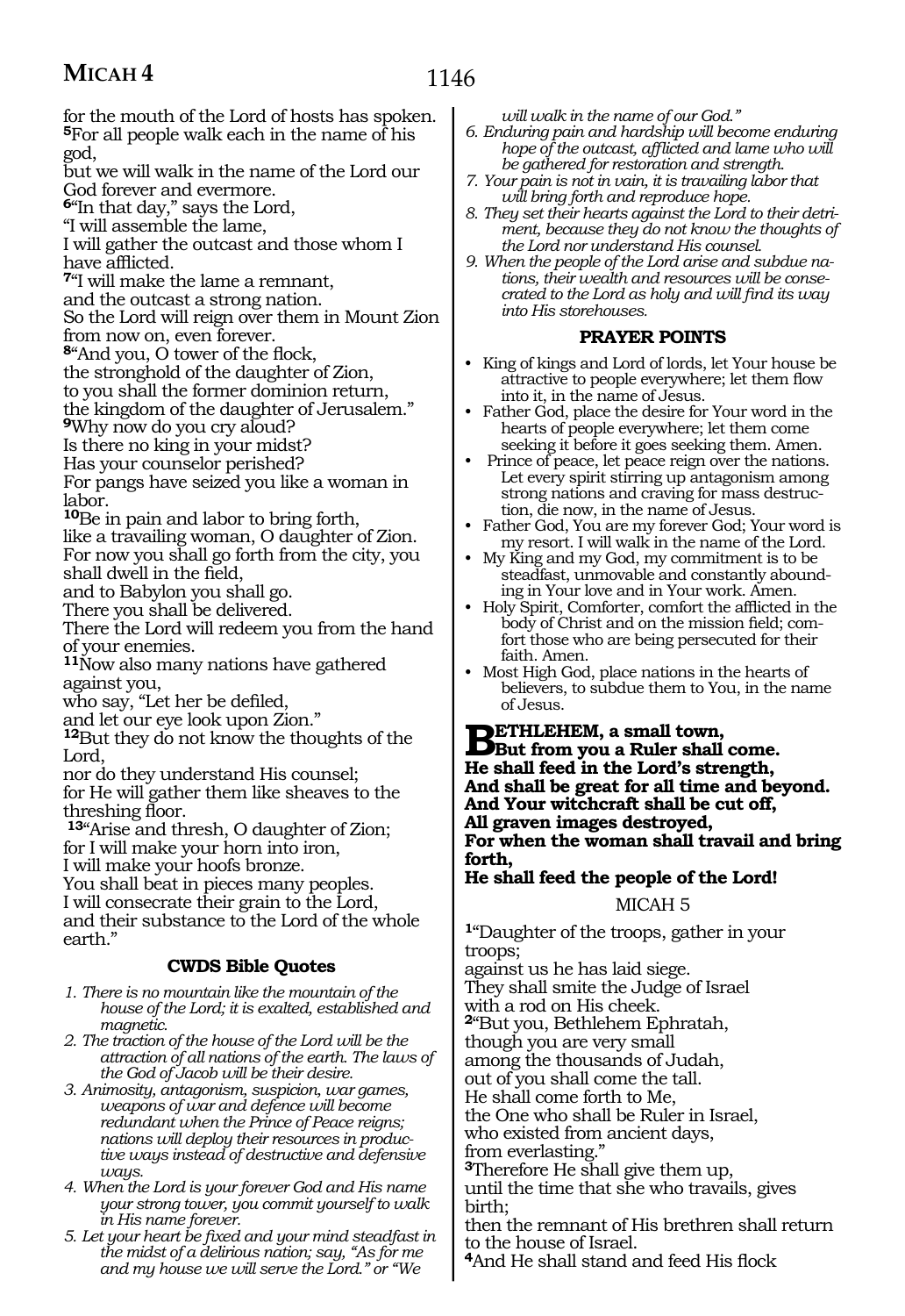## **MICAH 4**

for the mouth of the Lord of hosts has spoken. **<sup>5</sup>**For all people walk each in the name of his god,

but we will walk in the name of the Lord our God forever and evermore.

**<sup>6</sup>**"In that day," says the Lord,

"I will assemble the lame,

I will gather the outcast and those whom I have afflicted.

**<sup>7</sup>**"I will make the lame a remnant,

and the outcast a strong nation.

So the Lord will reign over them in Mount Zion from now on, even forever.

**<sup>8</sup>**"And you, O tower of the flock,

the stronghold of the daughter of Zion,

to you shall the former dominion return,

the kingdom of the daughter of Jerusalem."

**<sup>9</sup>**Why now do you cry aloud?

Is there no king in your midst?

Has your counselor perished?

For pangs have seized you like a woman in labor.

**<sup>10</sup>**Be in pain and labor to bring forth, like a travailing woman, O daughter of Zion. For now you shall go forth from the city, you shall dwell in the field,

and to Babylon you shall go.

There you shall be delivered.

There the Lord will redeem you from the hand of your enemies.

**<sup>11</sup>**Now also many nations have gathered against you,

who say, "Let her be defiled,

and let our eye look upon Zion."

**<sup>12</sup>**But they do not know the thoughts of the Lord,

nor do they understand His counsel; for He will gather them like sheaves to the threshing floor.

**<sup>13</sup>**"Arise and thresh, O daughter of Zion; for I will make your horn into iron,

I will make your hoofs bronze.

You shall beat in pieces many peoples.

I will consecrate their grain to the Lord, and their substance to the Lord of the whole earth."

#### **CWDS Bible Quotes**

*1. There is no mountain like the mountain of the house of the Lord; it is exalted, established and magnetic.*

*2. The traction of the house of the Lord will be the attraction of all nations of the earth. The laws of the God of Jacob will be their desire.*

*3. Animosity, antagonism, suspicion, war games, weapons of war and defence will become redundant when the Prince of Peace reigns; nations will deploy their resources in productive ways instead of destructive and defensive ways.*

*4. When the Lord is your forever God and His name your strong tower, you commit yourself to walk in His name forever.*

*5. Let your heart be fixed and your mind steadfast in the midst of a delirious nation; say, "As for me and my house we will serve the Lord." or "We* 

*will walk in the name of our God."*

- *6. Enduring pain and hardship will become enduring hope of the outcast, afflicted and lame who will be gathered for restoration and strength.*
- *7. Your pain is not in vain, it is travailing labor that will bring forth and reproduce hope.*
- *8. They set their hearts against the Lord to their detriment, because they do not know the thoughts of the Lord nor understand His counsel.*
- *9. When the people of the Lord arise and subdue nations, their wealth and resources will be consecrated to the Lord as holy and will find its way into His storehouses.*

#### **PRAYER POINTS**

- King of kings and Lord of lords, let Your house be attractive to people everywhere; let them flow into it, in the name of Jesus.
- Father God, place the desire for Your word in the hearts of people everywhere; let them come seeking it before it goes seeking them. Amen.
- Prince of peace, let peace reign over the nations. Let every spirit stirring up antagonism among strong nations and craving for mass destruction, die now, in the name of Jesus.
- Father God, You are my forever God; Your word is my resort. I will walk in the name of the Lord.
- My King and my God, my commitment is to be steadfast, unmovable and constantly abounding in Your love and in Your work. Amen.
- Holy Spirit, Comforter, comfort the afflicted in the body of Christ and on the mission field; comfort those who are being persecuted for their faith. Amen.
- Most High God, place nations in the hearts of believers, to subdue them to You, in the name of Jesus.

**BETHLEHEM, a small town,**<br> **But from you a Ruler shall come.**<br> **He shall feed in the Lard's strength He shall feed in the Lord's strength, And shall be great for all time and beyond. And Your witchcraft shall be cut off, All graven images destroyed, For when the woman shall travail and bring forth,** 

#### **He shall feed the people of the Lord!**

#### MICAH 5

**<sup>1</sup>**"Daughter of the troops, gather in your troops;

against us he has laid siege. They shall smite the Judge of Israel with a rod on His cheek. **<sup>2</sup>**"But you, Bethlehem Ephratah, though you are very small among the thousands of Judah, out of you shall come the tall. He shall come forth to Me, the One who shall be Ruler in Israel, who existed from ancient days, from everlasting." **<sup>3</sup>**Therefore He shall give them up, until the time that she who travails, gives birth;

then the remnant of His brethren shall return to the house of Israel.

**<sup>4</sup>**And He shall stand and feed His flock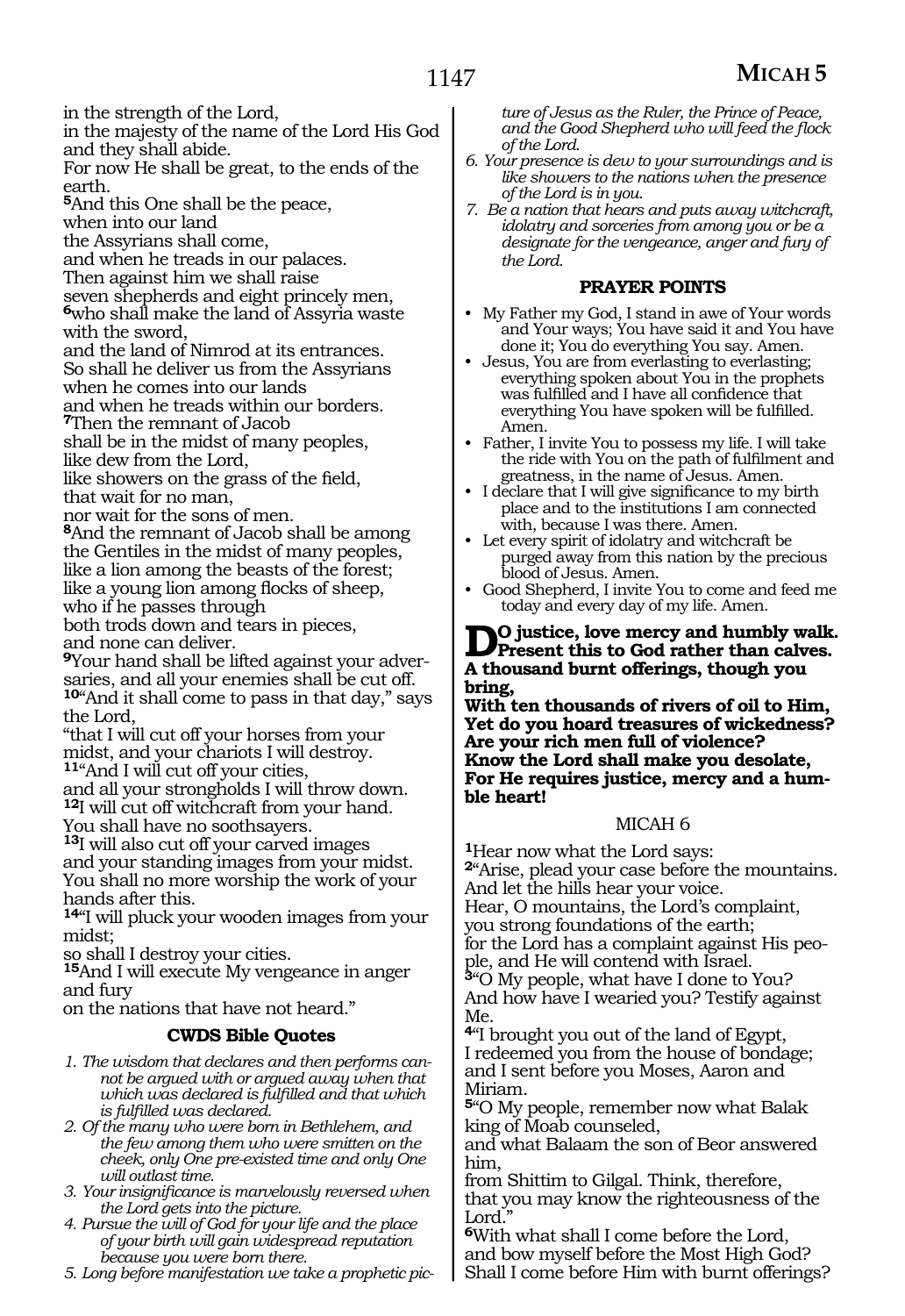in the strength of the Lord,

in the majesty of the name of the Lord His God and they shall abide.

For now He shall be great, to the ends of the earth.

**<sup>5</sup>**And this One shall be the peace,

when into our land

the Assyrians shall come,

and when he treads in our palaces.

Then against him we shall raise

seven shepherds and eight princely men, **<sup>6</sup>**who shall make the land of Assyria waste with the sword,

and the land of Nimrod at its entrances. So shall he deliver us from the Assyrians when he comes into our lands

and when he treads within our borders.

**<sup>7</sup>**Then the remnant of Jacob

shall be in the midst of many peoples, like dew from the Lord,

like showers on the grass of the field, that wait for no man,

nor wait for the sons of men.

**<sup>8</sup>**And the remnant of Jacob shall be among the Gentiles in the midst of many peoples, like a lion among the beasts of the forest; like a young lion among flocks of sheep, who if he passes through

both trods down and tears in pieces, and none can deliver.

**9**Your hand shall be lifted against your adversaries, and all your enemies shall be cut off. **<sup>10</sup>**"And it shall come to pass in that day," says the Lord,

"that I will cut off your horses from your midst, and your chariots I will destroy. **<sup>11</sup>**"And I will cut off your cities,

and all your strongholds I will throw down. **<sup>12</sup>**I will cut off witchcraft from your hand. You shall have no soothsayers.

**<sup>13</sup>**I will also cut off your carved images and your standing images from your midst. You shall no more worship the work of your hands after this.

**<sup>14</sup>**"I will pluck your wooden images from your midst;

so shall I destroy your cities.

**<sup>15</sup>**And I will execute My vengeance in anger and fury

on the nations that have not heard."

#### **CWDS Bible Quotes**

- *1. The wisdom that declares and then performs cannot be argued with or argued away when that which was declared is fulfilled and that which is fulfilled was declared.*
- *2. Of the many who were born in Bethlehem, and the few among them who were smitten on the cheek, only One pre-existed time and only One will outlast time.*
- *3. Your insignificance is marvelously reversed when the Lord gets into the picture.*
- *4. Pursue the will of God for your life and the place of your birth will gain widespread reputation because you were born there.*

*5. Long before manifestation we take a prophetic pic-*

*ture of Jesus as the Ruler, the Prince of Peace, and the Good Shepherd who will feed the flock of the Lord.*

- *6. Your presence is dew to your surroundings and is like showers to the nations when the presence of the Lord is in you.*
- *7. Be a nation that hears and puts away witchcraft, idolatry and sorceries from among you or be a designate for the vengeance, anger and fury of the Lord.*

#### **PRAYER POINTS**

- My Father my God, I stand in awe of Your words and Your ways; You have said it and You have done it; You do everything You say. Amen.
- Jesus, You are from everlasting to everlasting; everything spoken about You in the prophets was fulfilled and I have all confidence that everything You have spoken will be fulfilled. Amen.
- Father, I invite You to possess my life. I will take the ride with You on the path of fulfilment and greatness, in the name of Jesus. Amen.
- I declare that I will give significance to my birth place and to the institutions I am connected with, because I was there. Amen.
- Let every spirit of idolatry and witchcraft be purged away from this nation by the precious blood of Jesus. Amen.
- Good Shepherd, I invite You to come and feed me today and every day of my life. Amen.

### **D**<sup>O</sup> justice, love mercy and humbly walk.<br>
A they resent this to God rather than calves. **A thousand burnt offerings, though you bring,**

**With ten thousands of rivers of oil to Him, Yet do you hoard treasures of wickedness? Are your rich men full of violence? Know the Lord shall make you desolate, For He requires justice, mercy and a hum- ble heart!**

#### MICAH 6

**<sup>1</sup>**Hear now what the Lord says: **<sup>2</sup>**"Arise, plead your case before the mountains.

And let the hills hear your voice.

Hear, O mountains, the Lord's complaint, you strong foundations of the earth; for the Lord has a complaint against His peo- ple, and He will contend with Israel.

**<sup>3</sup>**"O My people, what have I done to You? And how have I wearied you? Testify against Me.

**<sup>4</sup>**"I brought you out of the land of Egypt, I redeemed you from the house of bondage; and I sent before you Moses, Aaron and Miriam.

**<sup>5</sup>**"O My people, remember now what Balak king of Moab counseled,

and what Balaam the son of Beor answered him,

from Shittim to Gilgal. Think, therefore, that you may know the righteousness of the Lord."

**<sup>6</sup>**With what shall I come before the Lord, and bow myself before the Most High God? Shall I come before Him with burnt offerings?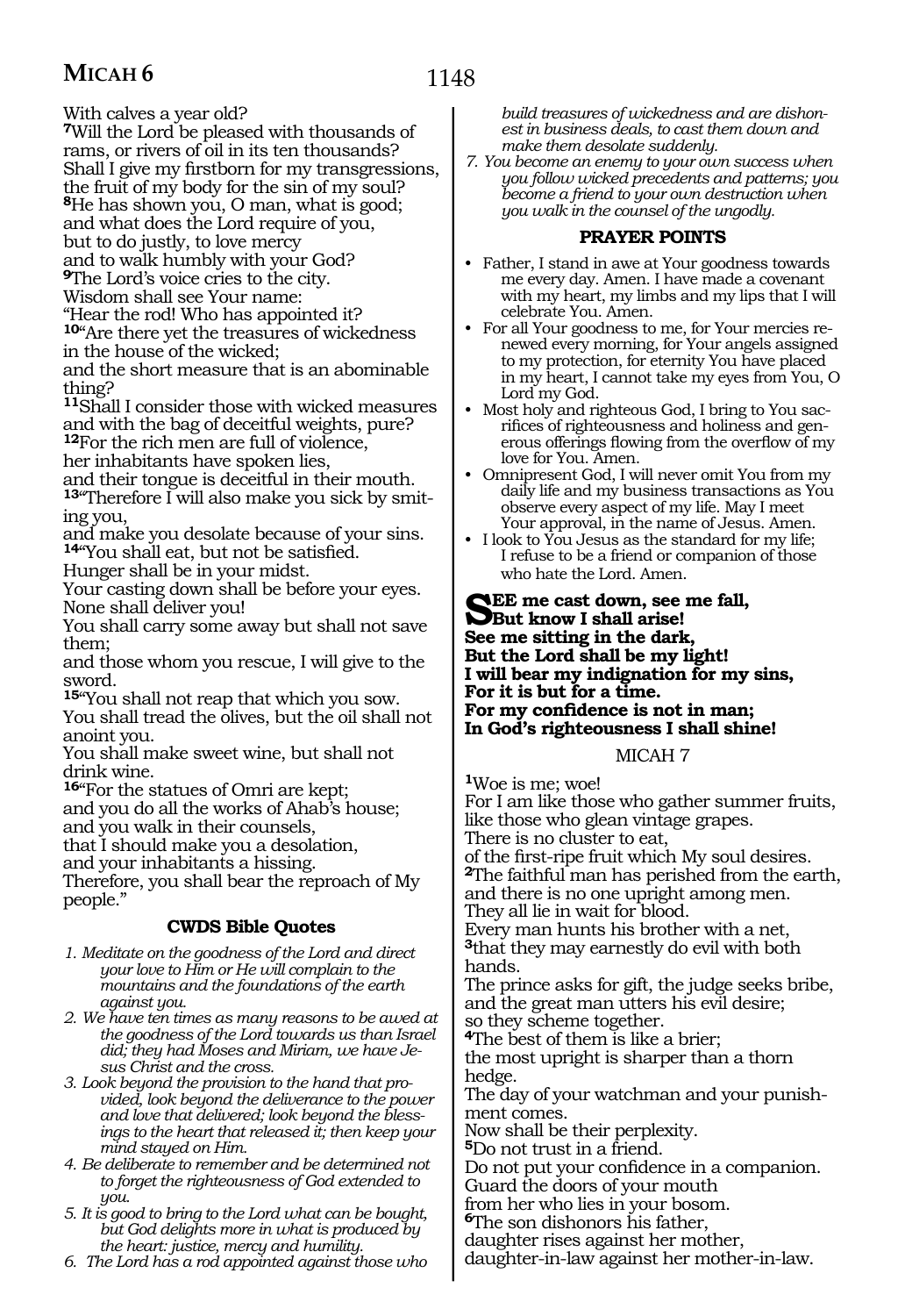## **MICAH 6**

With calves a year old?

- **<sup>7</sup>**Will the Lord be pleased with thousands of rams, or rivers of oil in its ten thousands?
- Shall I give my firstborn for my transgressions,
- the fruit of my body for the sin of my soul?
- **<sup>8</sup>**He has shown you, O man, what is good;
- and what does the Lord require of you,
- but to do justly, to love mercy
- and to walk humbly with your God?
- **<sup>9</sup>**The Lord's voice cries to the city.
- Wisdom shall see Your name:
- "Hear the rod! Who has appointed it?
- **<sup>10</sup>**"Are there yet the treasures of wickedness in the house of the wicked;
- and the short measure that is an abominable thing?
- **<sup>11</sup>**Shall I consider those with wicked measures and with the bag of deceitful weights, pure?
- **<sup>12</sup>**For the rich men are full of violence,
- her inhabitants have spoken lies,
- and their tongue is deceitful in their mouth.
- 13<sup>"</sup>Therefore I will also make you sick by smiting you,
- and make you desolate because of your sins. **<sup>14</sup>**"You shall eat, but not be satisfied.
- Hunger shall be in your midst.
- Your casting down shall be before your eyes. None shall deliver you!
- You shall carry some away but shall not save them;
- and those whom you rescue, I will give to the sword.
- **<sup>15</sup>**"You shall not reap that which you sow. You shall tread the olives, but the oil shall not anoint you.
- You shall make sweet wine, but shall not drink wine.
- **<sup>16</sup>**"For the statues of Omri are kept;
- and you do all the works of Ahab's house;
- and you walk in their counsels,
- that I should make you a desolation,
- and your inhabitants a hissing.

Therefore, you shall bear the reproach of My people."

#### **CWDS Bible Quotes**

- *1. Meditate on the goodness of the Lord and direct your love to Him or He will complain to the mountains and the foundations of the earth against you.*
- *2. We have ten times as many reasons to be awed at the goodness of the Lord towards us than Israel did; they had Moses and Miriam, we have Jesus Christ and the cross.*
- *3. Look beyond the provision to the hand that provided, look beyond the deliverance to the power and love that delivered; look beyond the blessings to the heart that released it; then keep your mind stayed on Him.*
- *4. Be deliberate to remember and be determined not to forget the righteousness of God extended to you.*
- *5. It is good to bring to the Lord what can be bought, but God delights more in what is produced by the heart: justice, mercy and humility.*
- *6. The Lord has a rod appointed against those who*

*build treasures of wickedness and are dishonest in business deals, to cast them down and make them desolate suddenly.*

*7. You become an enemy to your own success when you follow wicked precedents and patterns; you become a friend to your own destruction when you walk in the counsel of the ungodly.*

#### **PRAYER POINTS**

- Father, I stand in awe at Your goodness towards me every day. Amen. I have made a covenant with my heart, my limbs and my lips that I will celebrate You. Amen.
- For all Your goodness to me, for Your mercies renewed every morning, for Your angels assigned to my protection, for eternity You have placed in my heart, I cannot take my eyes from You, O Lord my God.
- Most holy and righteous God, I bring to You sacrifices of righteousness and holiness and generous offerings flowing from the overflow of my love for You. Amen.
- Omnipresent God, I will never omit You from my daily life and my business transactions as You observe every aspect of my life. May I meet Your approval, in the name of Jesus. Amen.
- I look to You Jesus as the standard for my life; I refuse to be a friend or companion of those who hate the Lord. Amen.

#### **See me cast down, see me fall, But know I shall arise! See me sitting in the dark, But the Lord shall be my light! I will bear my indignation for my sins, For it is but for a time. For my confidence is not in man; In God's righteousness I shall shine!**

#### MICAH 7

**<sup>1</sup>**Woe is me; woe!

For I am like those who gather summer fruits, like those who glean vintage grapes. There is no cluster to eat, of the first-ripe fruit which My soul desires. **<sup>2</sup>**The faithful man has perished from the earth, and there is no one upright among men. They all lie in wait for blood. Every man hunts his brother with a net, **<sup>3</sup>**that they may earnestly do evil with both hands. The prince asks for gift, the judge seeks bribe, and the great man utters his evil desire; so they scheme together. **<sup>4</sup>**The best of them is like a brier; the most upright is sharper than a thorn hedge. The day of your watchman and your punishment comes. Now shall be their perplexity. **<sup>5</sup>**Do not trust in a friend. Do not put your confidence in a companion. Guard the doors of your mouth from her who lies in your bosom. **<sup>6</sup>**The son dishonors his father,

daughter rises against her mother,

daughter-in-law against her mother-in-law.